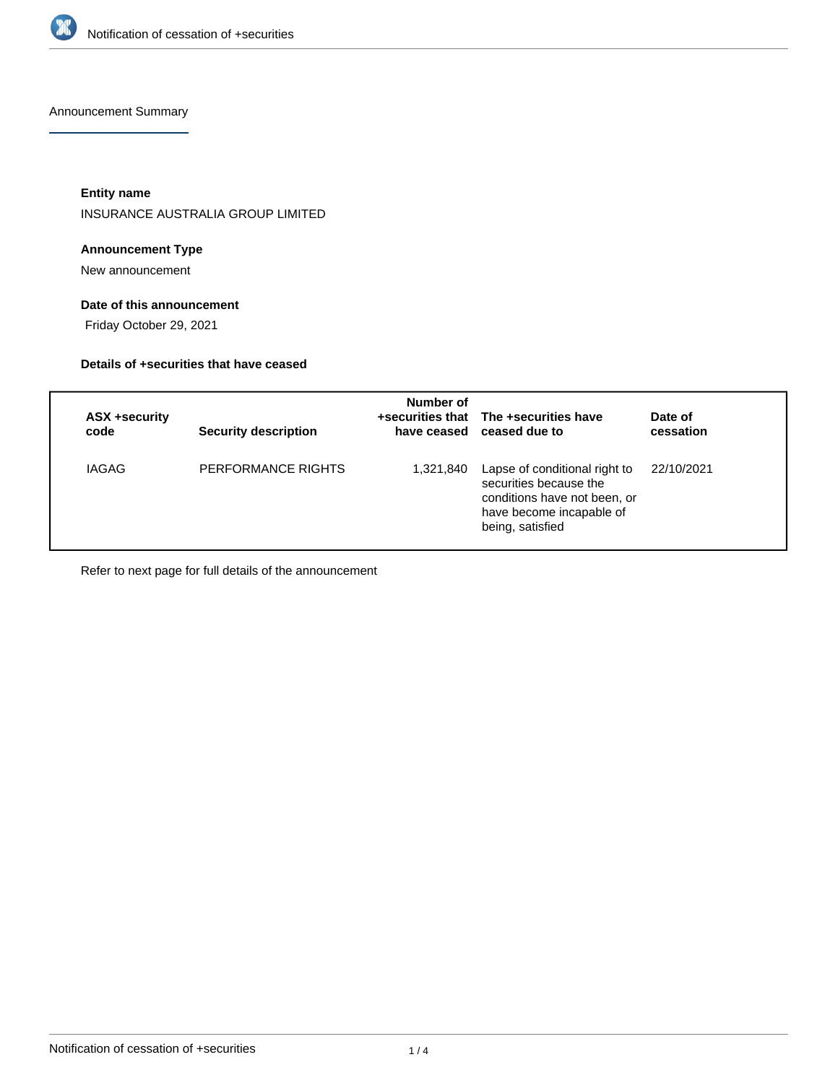

Announcement Summary

**Entity name**

INSURANCE AUSTRALIA GROUP LIMITED

# **Announcement Type**

New announcement

# **Date of this announcement**

Friday October 29, 2021

# **Details of +securities that have ceased**

| ASX +security<br>code | <b>Security description</b> | Number of | +securities that The +securities have<br>have ceased ceased due to                                                                      | Date of<br>cessation |
|-----------------------|-----------------------------|-----------|-----------------------------------------------------------------------------------------------------------------------------------------|----------------------|
| <b>IAGAG</b>          | PERFORMANCE RIGHTS          | 1,321,840 | Lapse of conditional right to<br>securities because the<br>conditions have not been, or<br>have become incapable of<br>being, satisfied | 22/10/2021           |

Refer to next page for full details of the announcement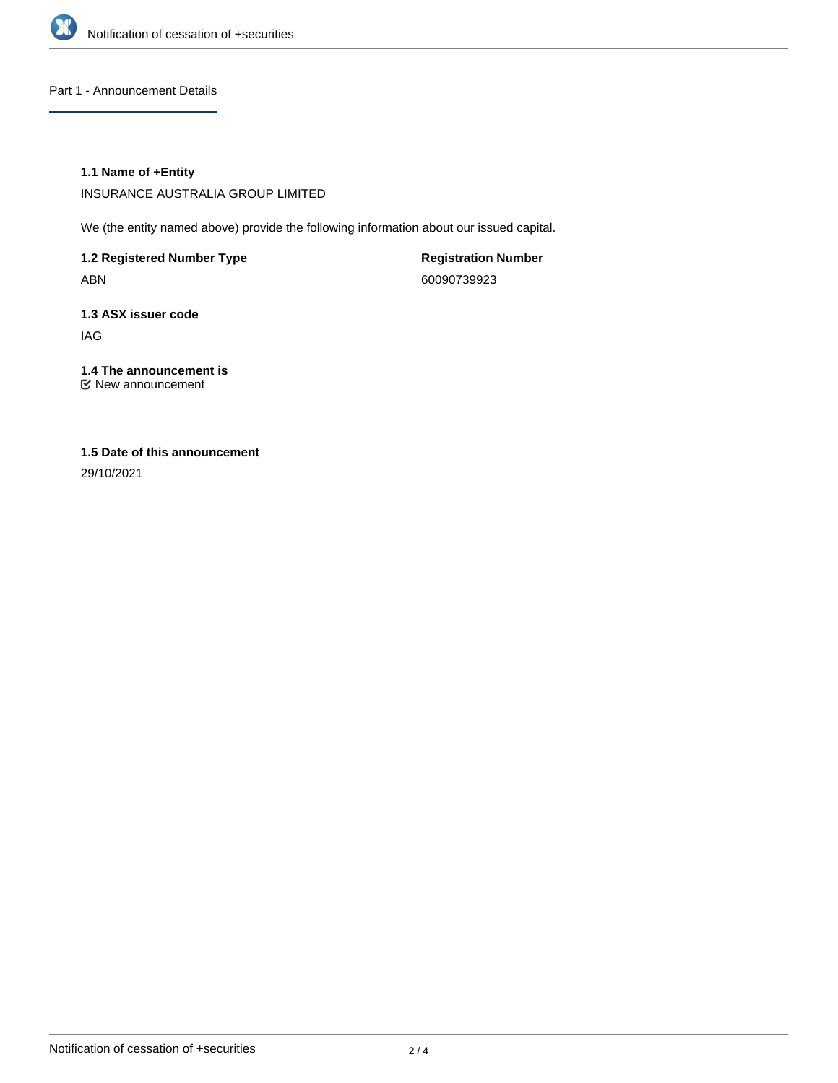

Part 1 - Announcement Details

## **1.1 Name of +Entity**

INSURANCE AUSTRALIA GROUP LIMITED

We (the entity named above) provide the following information about our issued capital.

**1.2 Registered Number Type** ABN

**Registration Number** 60090739923

**1.3 ASX issuer code** IAG

#### **1.4 The announcement is** New announcement

**1.5 Date of this announcement**

29/10/2021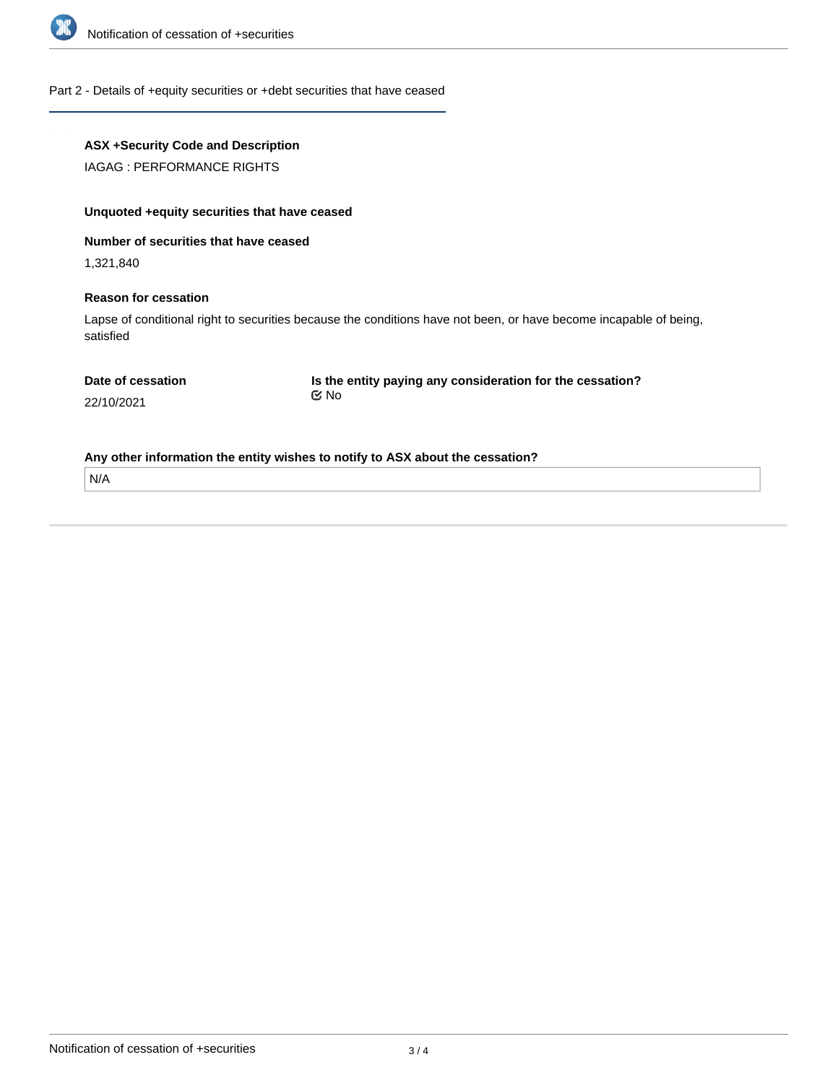

## Part 2 - Details of +equity securities or +debt securities that have ceased

# **ASX +Security Code and Description**

IAGAG : PERFORMANCE RIGHTS

# **Unquoted +equity securities that have ceased**

**Number of securities that have ceased**

1,321,840

## **Reason for cessation**

Lapse of conditional right to securities because the conditions have not been, or have become incapable of being, satisfied

|  | Date of cessation |
|--|-------------------|
|  |                   |

**Is the entity paying any consideration for the cessation?** No

22/10/2021

**Any other information the entity wishes to notify to ASX about the cessation?**

N/A